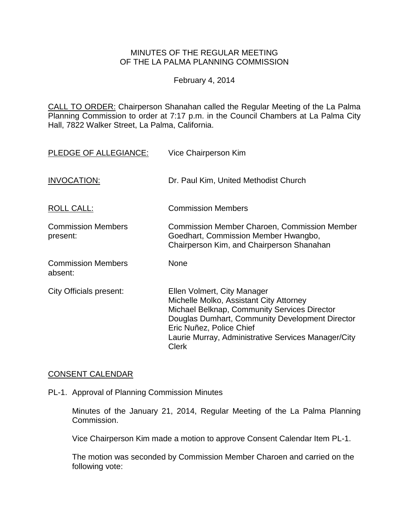# MINUTES OF THE REGULAR MEETING OF THE LA PALMA PLANNING COMMISSION

February 4, 2014

CALL TO ORDER: Chairperson [Shanahan called the Regular Meeting of the La Palma](http://lapalma.granicus.com/MediaPlayerFrameHandler.php?view_id=&clip_id=805&meta_id=105594)  Planning Commission to order at 7:17 [p.m. in the Council Chambers at La Palma City](http://lapalma.granicus.com/MediaPlayerFrameHandler.php?view_id=&clip_id=805&meta_id=105594)  [Hall, 7822 Walker Street, La Palma, California.](http://lapalma.granicus.com/MediaPlayerFrameHandler.php?view_id=&clip_id=805&meta_id=105594)

| PLEDGE OF ALLEGIANCE:                 | Vice Chairperson Kim                                                                                                                                                                                                                                                         |
|---------------------------------------|------------------------------------------------------------------------------------------------------------------------------------------------------------------------------------------------------------------------------------------------------------------------------|
| INVOCATION:                           | Dr. Paul Kim, United Methodist Church                                                                                                                                                                                                                                        |
| <b>ROLL CALL:</b>                     | <b>Commission Members</b>                                                                                                                                                                                                                                                    |
| <b>Commission Members</b><br>present: | <b>Commission Member Charoen, Commission Member</b><br>Goedhart, Commission Member Hwangbo,<br>Chairperson Kim, and Chairperson Shanahan                                                                                                                                     |
| <b>Commission Members</b><br>absent:  | <b>None</b>                                                                                                                                                                                                                                                                  |
| City Officials present:               | Ellen Volmert, City Manager<br>Michelle Molko, Assistant City Attorney<br>Michael Belknap, Community Services Director<br>Douglas Dumhart, Community Development Director<br>Eric Nuñez, Police Chief<br>Laurie Murray, Administrative Services Manager/City<br><b>Clerk</b> |

# [CONSENT CALENDAR](http://lapalma.granicus.com/MediaPlayerFrameHandler.php?view_id=&clip_id=805&meta_id=105652)

PL-1. Approval of Planning Commission Minutes

Minutes of the January 21, 2014, Regular Meeting of the La Palma Planning Commission.

Vice Chairperson Kim made a motion to approve Consent Calendar Item PL-1.

The motion was seconded by Commission Member Charoen and carried on the following vote: